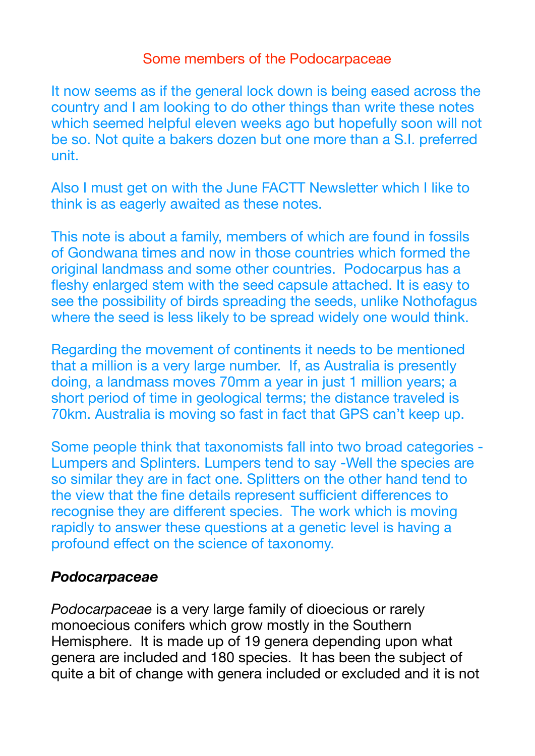#### Some members of the Podocarpaceae

It now seems as if the general lock down is being eased across the country and I am looking to do other things than write these notes which seemed helpful eleven weeks ago but hopefully soon will not be so. Not quite a bakers dozen but one more than a S.I. preferred unit.

Also I must get on with the June FACTT Newsletter which I like to think is as eagerly awaited as these notes.

This note is about a family, members of which are found in fossils of Gondwana times and now in those countries which formed the original landmass and some other countries. Podocarpus has a fleshy enlarged stem with the seed capsule attached. It is easy to see the possibility of birds spreading the seeds, unlike Nothofagus where the seed is less likely to be spread widely one would think.

Regarding the movement of continents it needs to be mentioned that a million is a very large number. If, as Australia is presently doing, a landmass moves 70mm a year in just 1 million years; a short period of time in geological terms; the distance traveled is 70km. Australia is moving so fast in fact that GPS can't keep up.

Some people think that taxonomists fall into two broad categories - Lumpers and Splinters. Lumpers tend to say -Well the species are so similar they are in fact one. Splitters on the other hand tend to the view that the fine details represent sufficient differences to recognise they are different species. The work which is moving rapidly to answer these questions at a genetic level is having a profound effect on the science of taxonomy.

#### *Podocarpaceae*

*Podocarpaceae* is a very large family of dioecious or rarely monoecious conifers which grow mostly in the Southern Hemisphere. It is made up of 19 genera depending upon what genera are included and 180 species. It has been the subject of quite a bit of change with genera included or excluded and it is not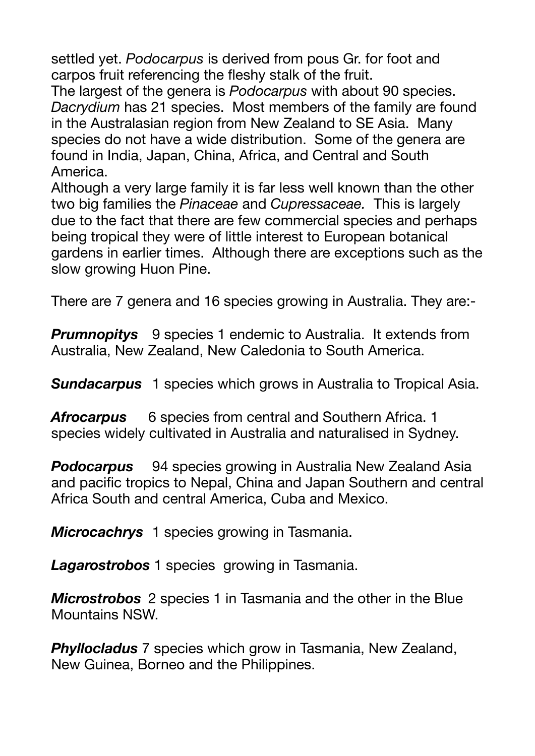settled yet. *Podocarpus* is derived from pous Gr. for foot and carpos fruit referencing the fleshy stalk of the fruit.

The largest of the genera is *Podocarpus* with about 90 species. *Dacrydium* has 21 species. Most members of the family are found in the Australasian region from New Zealand to SE Asia. Many species do not have a wide distribution. Some of the genera are found in India, Japan, China, Africa, and Central and South America.

Although a very large family it is far less well known than the other two big families the *Pinaceae* and *Cupressaceae.* This is largely due to the fact that there are few commercial species and perhaps being tropical they were of little interest to European botanical gardens in earlier times. Although there are exceptions such as the slow growing Huon Pine.

There are 7 genera and 16 species growing in Australia. They are:-

**Prumnopitys** 9 species 1 endemic to Australia. It extends from Australia, New Zealand, New Caledonia to South America.

*Sundacarpus* 1 species which grows in Australia to Tropical Asia.

*Afrocarpus* 6 species from central and Southern Africa. 1 species widely cultivated in Australia and naturalised in Sydney.

*Podocarpus* 94 species growing in Australia New Zealand Asia and pacific tropics to Nepal, China and Japan Southern and central Africa South and central America, Cuba and Mexico.

*Microcachrys* 1 species growing in Tasmania.

*Lagarostrobos* 1 species growing in Tasmania.

*Microstrobos* 2 species 1 in Tasmania and the other in the Blue Mountains NSW.

*Phyllocladus* 7 species which grow in Tasmania, New Zealand, New Guinea, Borneo and the Philippines.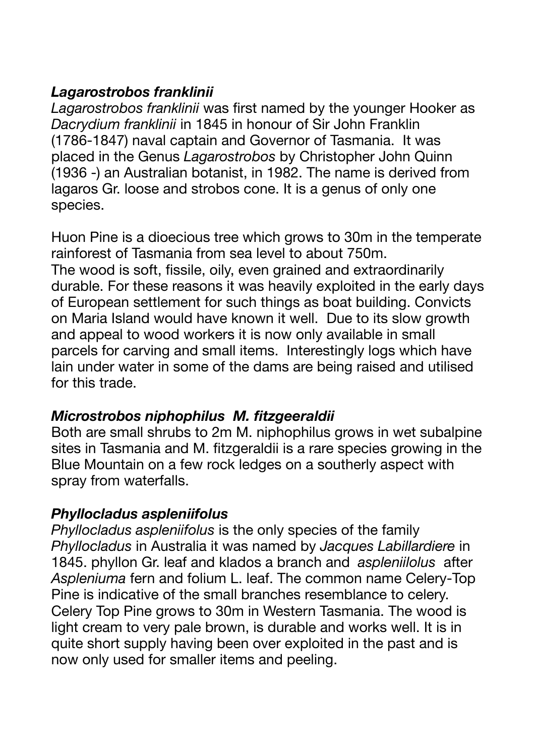# *Lagarostrobos franklinii*

*Lagarostrobos franklinii* was first named by the younger Hooker as *Dacrydium franklinii* in 1845 in honour of Sir John Franklin (1786-1847) naval captain and Governor of Tasmania. It was placed in the Genus *Lagarostrobos* by Christopher John Quinn (1936 -) an Australian botanist, in 1982. The name is derived from lagaros Gr. loose and strobos cone. It is a genus of only one species.

Huon Pine is a dioecious tree which grows to 30m in the temperate rainforest of Tasmania from sea level to about 750m. The wood is soft, fissile, oily, even grained and extraordinarily durable. For these reasons it was heavily exploited in the early days of European settlement for such things as boat building. Convicts on Maria Island would have known it well. Due to its slow growth and appeal to wood workers it is now only available in small parcels for carving and small items. Interestingly logs which have lain under water in some of the dams are being raised and utilised for this trade.

## *Microstrobos niphophilus M. fitzgeeraldii*

Both are small shrubs to 2m M. niphophilus grows in wet subalpine sites in Tasmania and M. fitzgeraldii is a rare species growing in the Blue Mountain on a few rock ledges on a southerly aspect with spray from waterfalls.

## *Phyllocladus aspleniifolus*

*Phyllocladus aspleniifolus* is the only species of the family *Phyllocladus* in Australia it was named by *Jacques Labillardiere* in 1845. phyllon Gr. leaf and klados a branch and *aspleniilolus* after *Aspleniuma* fern and folium L. leaf. The common name Celery-Top Pine is indicative of the small branches resemblance to celery. Celery Top Pine grows to 30m in Western Tasmania. The wood is light cream to very pale brown, is durable and works well. It is in quite short supply having been over exploited in the past and is now only used for smaller items and peeling.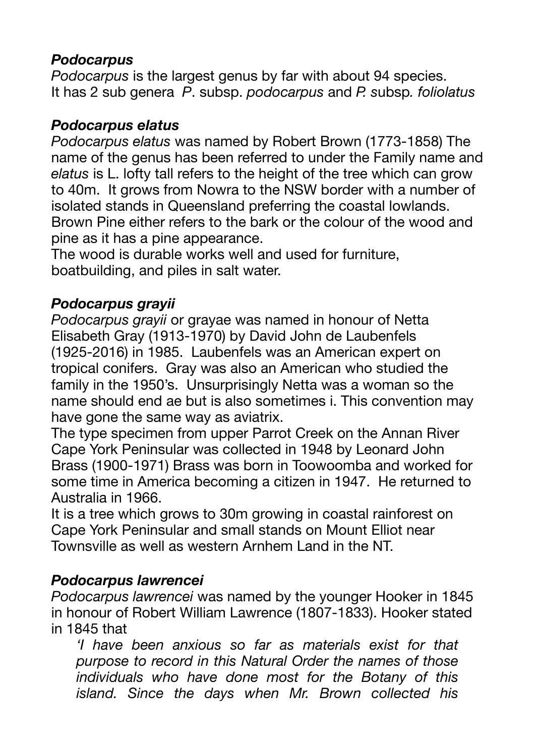# *Podocarpus*

*Podocarpus* is the largest genus by far with about 94 species. It has 2 sub genera *P*. subsp. *podocarpus* and *P. s*ubsp*. foliolatus*

### *Podocarpus elatus*

*Podocarpus elatus* was named by Robert Brown (1773-1858) The name of the genus has been referred to under the Family name and *elatus* is L. lofty tall refers to the height of the tree which can grow to 40m. It grows from Nowra to the NSW border with a number of isolated stands in Queensland preferring the coastal lowlands. Brown Pine either refers to the bark or the colour of the wood and pine as it has a pine appearance.

The wood is durable works well and used for furniture, boatbuilding, and piles in salt water.

# *Podocarpus grayii*

*Podocarpus grayii* or grayae was named in honour of Netta Elisabeth Gray (1913-1970) by David John de Laubenfels (1925-2016) in 1985. Laubenfels was an American expert on tropical conifers. Gray was also an American who studied the family in the 1950's. Unsurprisingly Netta was a woman so the name should end ae but is also sometimes i. This convention may have gone the same way as aviatrix.

The type specimen from upper Parrot Creek on the Annan River Cape York Peninsular was collected in 1948 by Leonard John Brass (1900-1971) Brass was born in Toowoomba and worked for some time in America becoming a citizen in 1947. He returned to Australia in 1966.

It is a tree which grows to 30m growing in coastal rainforest on Cape York Peninsular and small stands on Mount Elliot near Townsville as well as western Arnhem Land in the NT.

## *Podocarpus lawrencei*

*Podocarpus lawrencei* was named by the younger Hooker in 1845 in honour of Robert William Lawrence (1807-1833). Hooker stated in 1845 that

*'I have been anxious so far as materials exist for that purpose to record in this Natural Order the names of those individuals who have done most for the Botany of this island. Since the days when Mr. Brown collected his*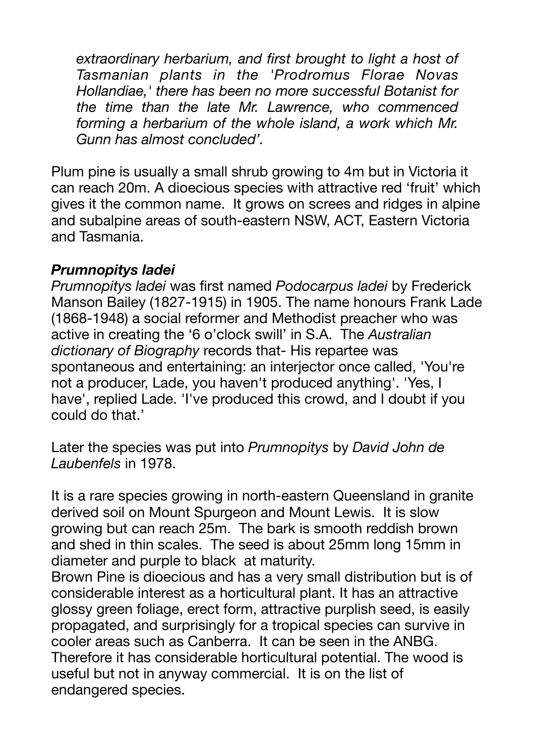*extraordinary herbarium, and first brought to light a host of Tasmanian plants in the 'Prodromus Florae Novas Hollandiae,' there has been no more successful Botanist for the time than the late Mr. Lawrence, who commenced forming a herbarium of the whole island, a work which Mr. Gunn has almost concluded'.* 

Plum pine is usually a small shrub growing to 4m but in Victoria it can reach 20m. A dioecious species with attractive red 'fruit' which gives it the common name. It grows on screes and ridges in alpine and subalpine areas of south-eastern NSW, ACT, Eastern Victoria and Tasmania.

#### *Prumnopitys ladei*

*Prumnopitys ladei* was first named *Podocarpus ladei* by Frederick Manson Bailey (1827-1915) in 1905. The name honours Frank Lade (1868-1948) a social reformer and Methodist preacher who was active in creating the '6 o'clock swill' in S.A. The *Australian dictionary of Biography* records that- His repartee was spontaneous and entertaining: an interjector once called, 'You're not a producer, Lade, you haven't produced anything'. 'Yes, I have', replied Lade. 'I've produced this crowd, and I doubt if you could do that.'

Later the species was put into *Prumnopitys* by *David John de Laubenfels* in 1978.

It is a rare species growing in north-eastern Queensland in granite derived soil on Mount Spurgeon and Mount Lewis. It is slow growing but can reach 25m. The bark is smooth reddish brown and shed in thin scales. The seed is about 25mm long 15mm in diameter and purple to black at maturity.

Brown Pine is dioecious and has a very small distribution but is of considerable interest as a horticultural plant. It has an attractive glossy green foliage, erect form, attractive purplish seed, is easily propagated, and surprisingly for a tropical species can survive in cooler areas such as Canberra. It can be seen in the ANBG. Therefore it has considerable horticultural potential. The wood is useful but not in anyway commercial. It is on the list of endangered species.